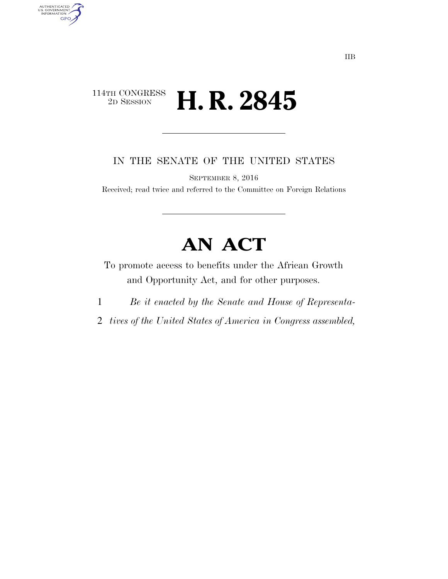### $\begin{array}{c} \textbf{114TH CONGRESS} \\ \textbf{2D SESION} \end{array}$ 2D SESSION **H. R. 2845**

AUTHENTICATED<br>U.S. GOVERNMENT<br>INFORMATION

**GPO** 

IN THE SENATE OF THE UNITED STATES

SEPTEMBER 8, 2016

Received; read twice and referred to the Committee on Foreign Relations

# **AN ACT**

To promote access to benefits under the African Growth and Opportunity Act, and for other purposes.

- 1 *Be it enacted by the Senate and House of Representa-*
- 2 *tives of the United States of America in Congress assembled,*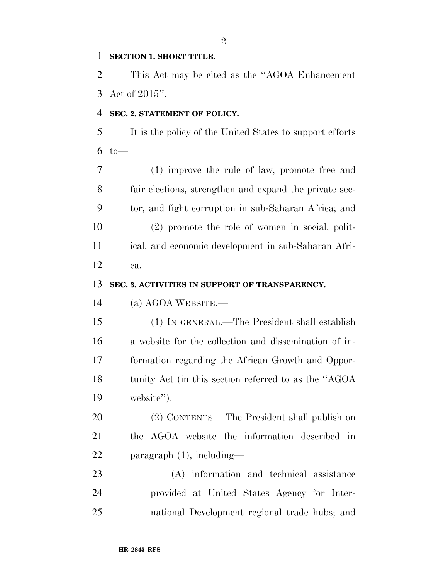#### **SECTION 1. SHORT TITLE.**

 This Act may be cited as the ''AGOA Enhancement Act of 2015''.

#### **SEC. 2. STATEMENT OF POLICY.**

 It is the policy of the United States to support efforts to —

 (1) improve the rule of law, promote free and fair elections, strengthen and expand the private sec- tor, and fight corruption in sub-Saharan Africa; and (2) promote the role of women in social, polit- ical, and economic development in sub-Saharan Afri-ca.

#### **SEC. 3. ACTIVITIES IN SUPPORT OF TRANSPARENCY.**

(a) AGOA WEBSITE.—

 (1) IN GENERAL.—The President shall establish a website for the collection and dissemination of in- formation regarding the African Growth and Oppor-18 tunity Act (in this section referred to as the "AGOA" website'').

 (2) CONTENTS.—The President shall publish on the AGOA website the information described in paragraph (1), including—

 (A) information and technical assistance provided at United States Agency for Inter-national Development regional trade hubs; and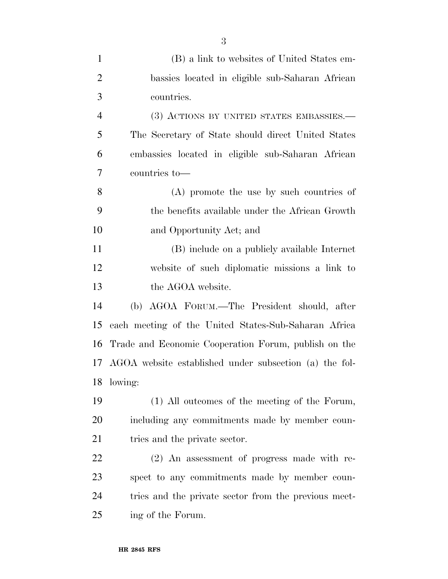| $\mathbf{1}$   | (B) a link to websites of United States em-            |
|----------------|--------------------------------------------------------|
| $\overline{2}$ | bassies located in eligible sub-Saharan African        |
| 3              | countries.                                             |
| 4              | (3) ACTIONS BY UNITED STATES EMBASSIES.—               |
| 5              | The Secretary of State should direct United States     |
| 6              | embassies located in eligible sub-Saharan African      |
| 7              | countries to-                                          |
| 8              | (A) promote the use by such countries of               |
| 9              | the benefits available under the African Growth        |
| 10             | and Opportunity Act; and                               |
| 11             | (B) include on a publicly available Internet           |
| 12             | website of such diplomatic missions a link to          |
| 13             | the AGOA website.                                      |
| 14             | (b) AGOA FORUM.—The President should, after            |
| 15             | each meeting of the United States-Sub-Saharan Africa   |
| 16             | Trade and Economic Cooperation Forum, publish on the   |
| 17             | AGOA website established under subsection (a) the fol- |
| 18             | lowing:                                                |
| 19             | (1) All outcomes of the meeting of the Forum,          |
| 20             | including any commitments made by member coun-         |
| 21             | tries and the private sector.                          |
| 22             | (2) An assessment of progress made with re-            |
| 23             | spect to any commitments made by member coun-          |
| 24             | tries and the private sector from the previous meet-   |
| 25             | ing of the Forum.                                      |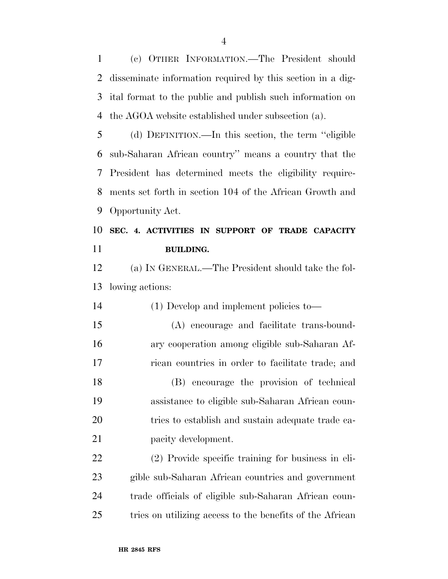(c) OTHER INFORMATION.—The President should disseminate information required by this section in a dig- ital format to the public and publish such information on the AGOA website established under subsection (a).

 (d) DEFINITION.—In this section, the term ''eligible sub-Saharan African country'' means a country that the President has determined meets the eligibility require- ments set forth in section 104 of the African Growth and Opportunity Act.

## **SEC. 4. ACTIVITIES IN SUPPORT OF TRADE CAPACITY BUILDING.**

 (a) IN GENERAL.—The President should take the fol-lowing actions:

 (1) Develop and implement policies to— (A) encourage and facilitate trans-bound- ary cooperation among eligible sub-Saharan Af- rican countries in order to facilitate trade; and (B) encourage the provision of technical assistance to eligible sub-Saharan African coun- tries to establish and sustain adequate trade ca-21 pacity development.

 (2) Provide specific training for business in eli- gible sub-Saharan African countries and government trade officials of eligible sub-Saharan African coun-tries on utilizing access to the benefits of the African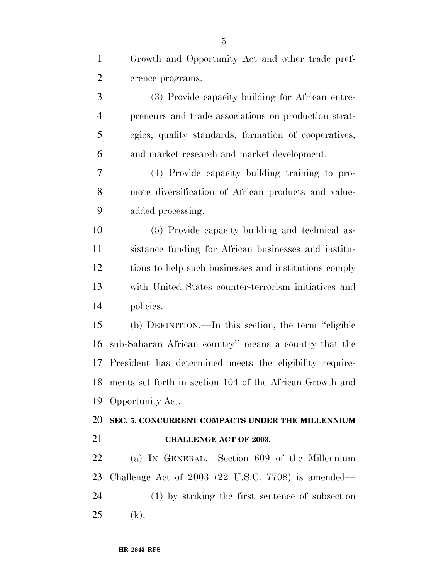| $\mathbf{1}$   | Growth and Opportunity Act and other trade pref-                |
|----------------|-----------------------------------------------------------------|
| $\overline{2}$ | erence programs.                                                |
| 3              | (3) Provide capacity building for African entre-                |
| $\overline{4}$ | preneurs and trade associations on production strat-            |
| 5              | egies, quality standards, formation of cooperatives,            |
| 6              | and market research and market development.                     |
| 7              | (4) Provide capacity building training to pro-                  |
| 8              | mote diversification of African products and value-             |
| 9              | added processing.                                               |
| 10             | (5) Provide capacity building and technical as-                 |
| 11             | sistance funding for African businesses and institu-            |
| 12             | tions to help such businesses and institutions comply           |
| 13             | with United States counter-terrorism initiatives and            |
| 14             | policies.                                                       |
| 15             | (b) DEFINITION.—In this section, the term "eligible             |
| 16             | sub-Saharan African country" means a country that the           |
| 17             | President has determined meets the eligibility require-         |
| 18             | ments set forth in section 104 of the African Growth and        |
| 19             | Opportunity Act.                                                |
| 20             | SEC. 5. CONCURRENT COMPACTS UNDER THE MILLENNIUM                |
| 21             | <b>CHALLENGE ACT OF 2003.</b>                                   |
| 22             | (a) IN GENERAL.—Section 609 of the Millennium                   |
| 23             | Challenge Act of $2003$ $(22 \text{ U.S.C. } 7708)$ is amended— |
| 24             | (1) by striking the first sentence of subsection                |
| 25             | (k);                                                            |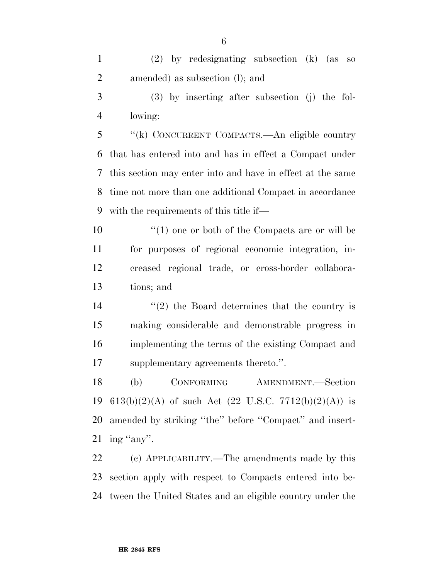(2) by redesignating subsection (k) (as so amended) as subsection (l); and

 (3) by inserting after subsection (j) the fol-lowing:

 ''(k) CONCURRENT COMPACTS.—An eligible country that has entered into and has in effect a Compact under this section may enter into and have in effect at the same time not more than one additional Compact in accordance with the requirements of this title if—

 $\mathcal{L}(1)$  one or both of the Compacts are or will be for purposes of regional economic integration, in- creased regional trade, or cross-border collabora-tions; and

 $(2)$  the Board determines that the country is making considerable and demonstrable progress in implementing the terms of the existing Compact and supplementary agreements thereto.''.

 (b) CONFORMING AMENDMENT.—Section 19 613(b)(2)(A) of such Act (22 U.S.C. 7712(b)(2)(A)) is amended by striking ''the'' before ''Compact'' and insert-ing ''any''.

 (c) APPLICABILITY.—The amendments made by this section apply with respect to Compacts entered into be-tween the United States and an eligible country under the